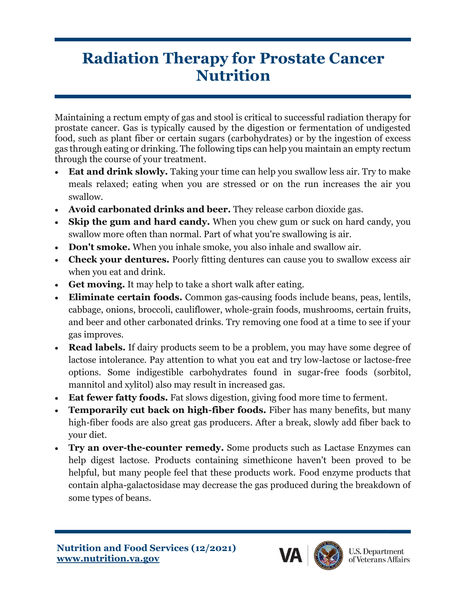## **Radiation Therapy for Prostate Cancer Nutrition**

Maintaining a rectum empty of gas and stool is critical to successful radiation therapy for prostate cancer. Gas is typically caused by the digestion or fermentation of undigested food, such as plant fiber or certain sugars (carbohydrates) or by the ingestion of excess gas through eating or drinking. The following tips can help you maintain an empty rectum through the course of your treatment.

- **Eat and drink slowly.** Taking your time can help you swallow less air. Try to make meals relaxed; eating when you are stressed or on the run increases the air you swallow.
- **Avoid carbonated drinks and beer.** They release carbon dioxide gas.
- **Skip the gum and hard candy.** When you chew gum or suck on hard candy, you swallow more often than normal. Part of what you're swallowing is air.
- **Don't smoke.** When you inhale smoke, you also inhale and swallow air.
- **Check your dentures.** Poorly fitting dentures can cause you to swallow excess air when you eat and drink.
- **Get moving.** It may help to take a short walk after eating.
- **Eliminate certain foods.** Common gas-causing foods include beans, peas, lentils, cabbage, onions, broccoli, cauliflower, whole-grain foods, mushrooms, certain fruits, and beer and other carbonated drinks. Try removing one food at a time to see if your gas improves.
- **Read labels.** If dairy products seem to be a problem, you may have some degree of lactose intolerance. Pay attention to what you eat and try low-lactose or lactose-free options. Some indigestible carbohydrates found in sugar-free foods (sorbitol, mannitol and xylitol) also may result in increased gas.
- **Eat fewer fatty foods.** Fat slows digestion, giving food more time to ferment.
- **Temporarily cut back on high-fiber foods.** Fiber has many benefits, but many high-fiber foods are also great gas producers. After a break, slowly add fiber back to your diet.
- **Try an over-the-counter remedy.** Some products such as Lactase Enzymes can help digest lactose. Products containing simethicone haven't been proved to be helpful, but many people feel that these products work. Food enzyme products that contain alpha-galactosidase may decrease the gas produced during the breakdown of some types of beans.